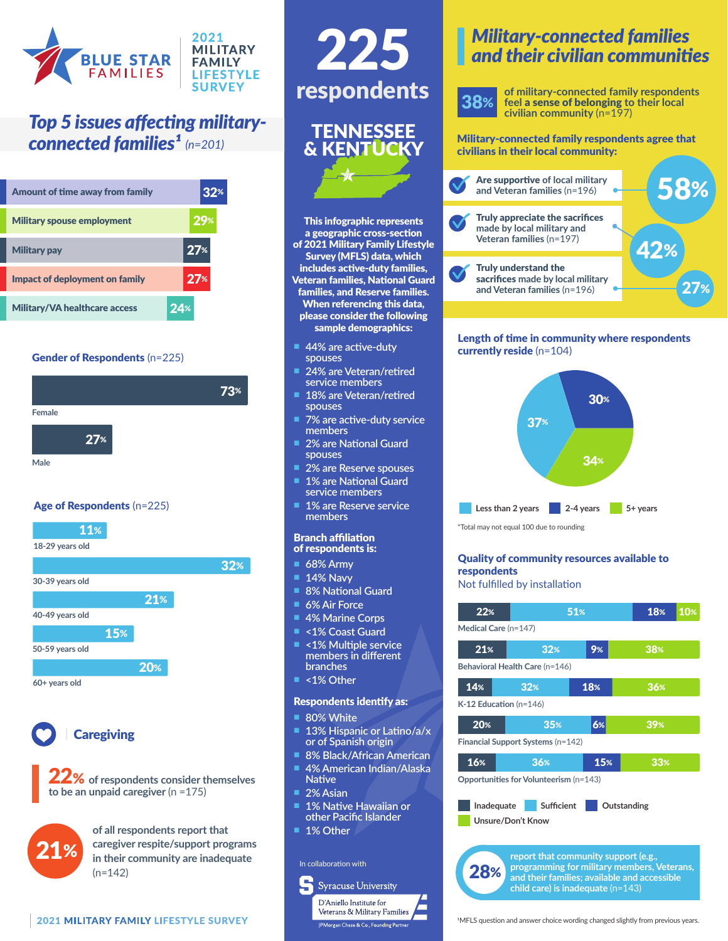

## *Top 5 issues affecting military-*

| Amount of time away from family      | 32 <sup>%</sup> |
|--------------------------------------|-----------------|
| <b>Military spouse employment</b>    | 29%             |
| <b>Military pay</b>                  | 27 <sup>%</sup> |
| Impact of deployment on family       | 27 <sup>%</sup> |
| <b>Military/VA healthcare access</b> | 24%             |

## Gender of Respondents (n=225)



## Age of Respondents (n=225)





## **Caregiving**

22% **of respondents consider themselves to be an unpaid caregiver** (n =175)



**of all respondents report that caregiver respite/support programs in their community are inadequate**   $(n=142)$ 



This infographic represents a geographic cross-section of 2021 Military Family Lifestyle Survey (MFLS) data, which includes active-duty families, Veteran families, National Guard families, and Reserve families. When referencing this data, please consider the following sample demographics:

& KENTUCKY

**44% are active-duty** 

24% are Veteran/retired **service members** 18% are Veteran/retired

**7% are active-duty service** 

**2% are National Guard** 

**2% are Reserve spouses 1% are National Guard service members 1% are Reserve service** 

**spouses**

**spouses**

**members**

**spouses**

**members** Branch affiliation of respondents is: n **68% Army 14% Navv 8% National Guard 6% Air Force 4% Marine Corps** n **<1% Coast Guard** n **<1% Multiple service members in different** 

**branches** n **<1% Other**

**80% White** 

**Native 2% Asian** 

Respondents identify as:

13% Hispanic or Latino/a/x **or of Spanish origin** n **8% Black/African American** n **4% American Indian/Alaska** 

**1% Native Hawaiian or other Pacific Islander**

> **Syracuse University** D'Aniello Institute for Veterans & Military Families

|<br>PMorgan Chase & Co., Founding Partne

In collaboration with

1% Other

## *Military-connected families and their civilian communities*

**of military-connected family respondents feel** a sense of belonging **to their local civilian community** (n=197)

#### **connected families<sup>1</sup>** (n=201) **Military-connected family respondents agree that** civilians in their local community:



### Length of time in community where respondents currently reside (n=104)



\*Total may not equal 100 due to rounding

## Quality of community resources available to respondents

Not fulfilled by installation



28% **report that community support (e.g., programming for military members, Veterans, and their families; available and accessible child care) is inadequate** (n=143)

<sup>1</sup>MFLS question and answer choice wording changed slightly from previous years.